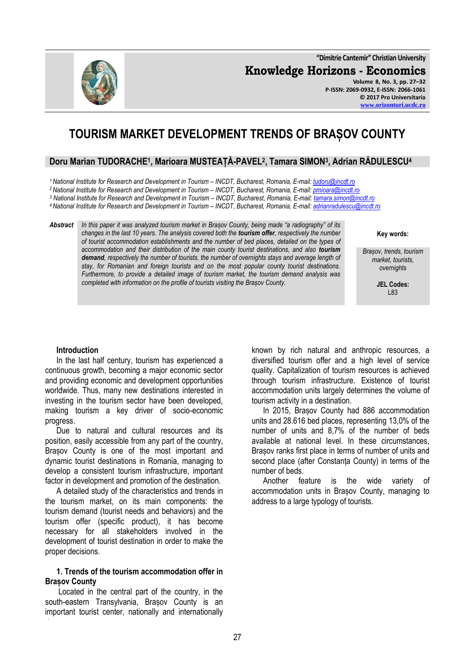**"Dimitrie Cantemir" Christian University Knowledge Horizons - Economics Volume 8, No. 3, pp. 27–32**

# **TOURISM MARKET DEVELOPMENT TRENDS OF BRAȘOV COUNTY**

## **Doru Marian TUDORACHE<sup>1</sup> , Marioara MUSTEAȚĂ-PAVEL<sup>2</sup> , Tamara SIMON<sup>3</sup> , Adrian RĂDULESCU<sup>4</sup>**

*<sup>1</sup>National Institute for Research and Development in Tourism – INCDT, Bucharest, Romania, E-mail[: tudoru@incdt.ro](mailto:tudoru@incdt.ro)*

*<sup>2</sup>National Institute for Research and Development in Tourism – INCDT, Bucharest, Romania, E-mail[: pmioara@incdt.ro](mailto:pmioara@incdt.ro)*

*<sup>3</sup> National Institute for Research and Development in Tourism – INCDT, Bucharest, Romania, E-mail[: tamara.simon@incdt.ro](mailto:tamara.simon@incdt.ro)*

*<sup>4</sup>National Institute for Research and Development in Tourism – INCDT, Bucharest, Romania, E-mail[: adrianradulescu@incdt.ro](mailto:adrianradulescu@incdt.ro)*

*Abstract In this paper it was analyzed tourism market in Brașov County, being made "a radiography" of its changes in the last 10 years. The analysis covered both the tourism offer, respectively the number of tourist accommodation establishments and the number of bed places, detailed on the types of accommodation and their distribution of the main county tourist destinations, and also tourism demand, respectively the number of tourists, the number of overnights stays and average length of stay, for Romanian and foreign tourists and on the most popular county tourist destinations. Furthermore, to provide a detailed image of tourism market, the tourism demand analysis was completed with information on the profile of tourists visiting the Brașov County.*

**Key words:**

*Brașov, trends, tourism market, tourists, overnights*

> **JEL Codes:** L83

## **Introduction**

In the last half century, tourism has experienced a continuous growth, becoming a major economic sector and providing economic and development opportunities worldwide. Thus, many new destinations interested in investing in the tourism sector have been developed, making tourism a key driver of socio-economic progress.

Due to natural and cultural resources and its position, easily accessible from any part of the country, Brașov County is one of the most important and dynamic tourist destinations in Romania, managing to develop a consistent tourism infrastructure, important factor in development and promotion of the destination.

A detailed study of the characteristics and trends in the tourism market, on its main components: the tourism demand (tourist needs and behaviors) and the tourism offer (specific product), it has become necessary for all stakeholders involved in the development of tourist destination in order to make the proper decisions.

## **1. Trends of the tourism accommodation offer in Brașov County**

Located in the central part of the country, in the south-eastern Transylvania, Brașov County is an important tourist center, nationally and internationally

known by rich natural and anthropic resources, a diversified tourism offer and a high level of service quality. Capitalization of tourism resources is achieved through tourism infrastructure. Existence of tourist accommodation units largely determines the volume of tourism activity in a destination.

In 2015, Brașov County had 886 accommodation units and 28.616 bed places, representing 13,0% of the number of units and 8,7% of the number of beds available at national level. In these circumstances, Brașov ranks first place in terms of number of units and second place (after Constanta County) in terms of the number of beds.

Another feature is the wide variety of accommodation units in Brașov County, managing to address to a large typology of tourists.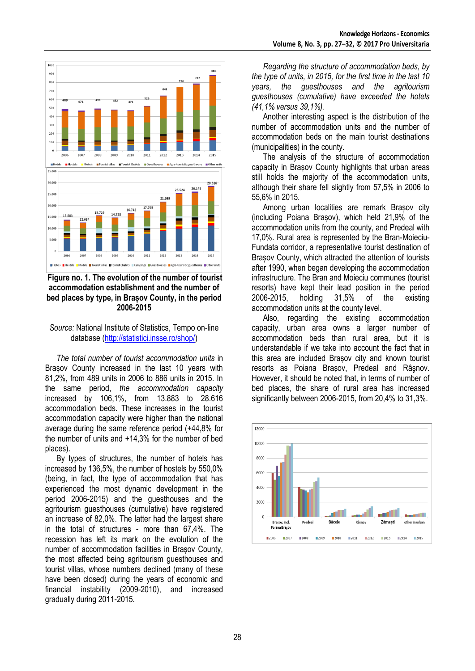

## **Figure no. 1. The evolution of the number of tourist accommodation establishment and the number of bed places by type, in Brașov County, in the period 2006-2015**

#### *Source:* National Institute of Statistics, Tempo on-line database [\(http://statistici.insse.ro/shop/\)](http://statistici.insse.ro/shop/)

*The total number of tourist accommodation units* in Brașov County increased in the last 10 years with 81,2%, from 489 units in 2006 to 886 units in 2015. In the same period, *the accommodation capacity* increased by 106,1%, from 13.883 to 28.616 accommodation beds. These increases in the tourist accommodation capacity were higher than the national average during the same reference period (+44,8% for the number of units and +14,3% for the number of bed places).

By types of structures, the number of hotels has increased by 136,5%, the number of hostels by 550,0% (being, in fact, the type of accommodation that has experienced the most dynamic development in the period 2006-2015) and the guesthouses and the agritourism guesthouses (cumulative) have registered an increase of 82,0%. The latter had the largest share in the total of structures - more than 67,4%. The recession has left its mark on the evolution of the number of accommodation facilities in Brașov County, the most affected being agritourism guesthouses and tourist villas, whose numbers declined (many of these have been closed) during the years of economic and financial instability (2009-2010), and increased gradually during 2011-2015.

*Regarding the structure of accommodation beds, by the type of units, in 2015, for the first time in the last 10 years, the guesthouses and the agritourism guesthouses (cumulative) have exceeded the hotels (41,1% versus 39,1%).*

Another interesting aspect is the distribution of the number of accommodation units and the number of accommodation beds on the main tourist destinations (municipalities) in the county.

The analysis of the structure of accommodation capacity in Brașov County highlights that urban areas still holds the majority of the accommodation units, although their share fell slightly from 57,5% in 2006 to 55,6% in 2015.

Among urban localities are remark Brașov city (including Poiana Brașov), which held 21,9% of the accommodation units from the county, and Predeal with 17,0%. Rural area is represented by the Bran-Moieciu-Fundata corridor, a representative tourist destination of Brașov County, which attracted the attention of tourists after 1990, when began developing the accommodation infrastructure. The Bran and Moieciu communes (tourist resorts) have kept their lead position in the period 2006-2015, holding 31,5% of the existing accommodation units at the county level.

Also, regarding the existing accommodation capacity, urban area owns a larger number of accommodation beds than rural area, but it is understandable if we take into account the fact that in this area are included Brașov city and known tourist resorts as Poiana Brașov, Predeal and Râşnov. However, it should be noted that, in terms of number of bed places, the share of rural area has increased significantly between 2006-2015, from 20,4% to 31,3%.

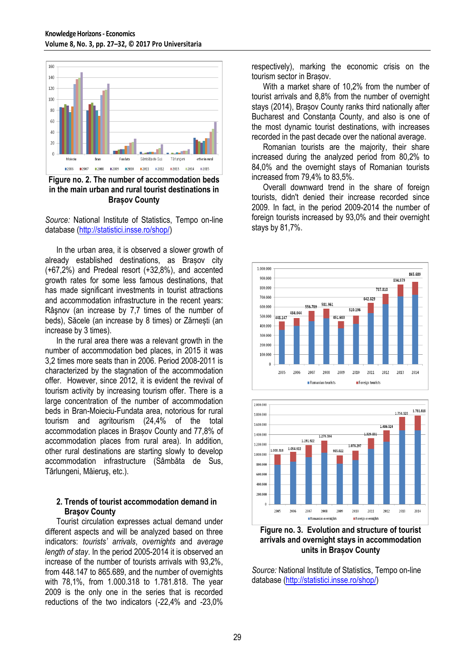

**Figure no. 2. The number of accommodation beds in the main urban and rural tourist destinations in Brașov County**

*Source:* National Institute of Statistics, Tempo on-line database [\(http://statistici.insse.ro/shop/\)](http://statistici.insse.ro/shop/)

In the urban area, it is observed a slower growth of already established destinations, as Brașov city (+67,2%) and Predeal resort (+32,8%), and accented growth rates for some less famous destinations, that has made significant investments in tourist attractions and accommodation infrastructure in the recent years: Râşnov (an increase by 7,7 times of the number of beds), Săcele (an increase by 8 times) or Zărnești (an increase by 3 times).

In the rural area there was a relevant growth in the number of accommodation bed places, in 2015 it was 3,2 times more seats than in 2006. Period 2008-2011 is characterized by the stagnation of the accommodation offer. However, since 2012, it is evident the revival of tourism activity by increasing tourism offer. There is a large concentration of the number of accommodation beds in Bran-Moieciu-Fundata area, notorious for rural tourism and agritourism (24,4% of the total accommodation places in Brașov County and 77,8% of accommodation places from rural area). In addition, other rural destinations are starting slowly to develop accommodation infrastructure (Sâmbăta de Sus, Tărlungeni, Măieruş, etc.).

#### **2. Trends of tourist accommodation demand in Braşov County**

Tourist circulation expresses actual demand under different aspects and will be analyzed based on three indicators: *tourists' arrivals*, *overnights* and *average length of stay*. In the period 2005-2014 it is observed an increase of the number of tourists arrivals with 93,2%, from 448.147 to 865.689, and the number of overnights with 78,1%, from 1.000.318 to 1.781.818. The year 2009 is the only one in the series that is recorded reductions of the two indicators (-22,4% and -23,0%

respectively), marking the economic crisis on the tourism sector in Brașov.

With a market share of 10,2% from the number of tourist arrivals and 8,8% from the number of overnight stays (2014), Brașov County ranks third nationally after Bucharest and Constanța County, and also is one of the most dynamic tourist destinations, with increases recorded in the past decade over the national average.

Romanian tourists are the majority, their share increased during the analyzed period from 80,2% to 84,0% and the overnight stays of Romanian tourists increased from 79,4% to 83,5%.

Overall downward trend in the share of foreign tourists, didn't denied their increase recorded since 2009. In fact, in the period 2009-2014 the number of foreign tourists increased by 93,0% and their overnight stays by 81,7%.





**Figure no. 3. Evolution and structure of tourist arrivals and overnight stays in accommodation units in Brașov County**

*Source:* National Institute of Statistics, Tempo on-line database [\(http://statistici.insse.ro/shop/\)](http://statistici.insse.ro/shop/)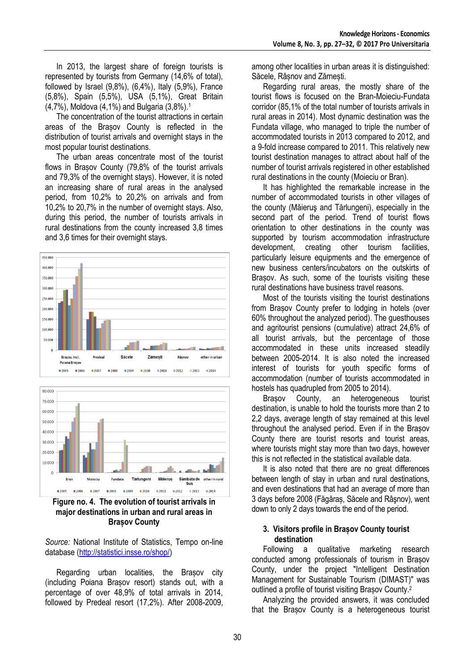In 2013, the largest share of foreign tourists is represented by tourists from Germany (14,6% of total), followed by Israel (9,8%), (6,4%), Italy (5,9%), France (5,8%), Spain (5,5%), USA (5,1%), Great Britain (4,7%), Moldova (4,1%) and Bulgaria (3,8%).<sup>1</sup>

The concentration of the tourist attractions in certain areas of the Brașov County is reflected in the distribution of tourist arrivals and overnight stays in the most popular tourist destinations.

The urban areas concentrate most of the tourist flows in Brașov County (79,8% of the tourist arrivals and 79,3% of the overnight stays). However, it is noted an increasing share of rural areas in the analysed period, from 10,2% to 20,2% on arrivals and from 10,2% to 20,7% in the number of overnight stays. Also, during this period, the number of tourists arrivals in rural destinations from the county increased 3,8 times and 3,6 times for their overnight stays.





**Figure no. 4. The evolution of tourist arrivals in major destinations in urban and rural areas in Brașov County**

*Source:* National Institute of Statistics, Tempo on-line database [\(http://statistici.insse.ro/shop/\)](http://statistici.insse.ro/shop/)

Regarding urban localities, the Brașov city (including Poiana Brașov resort) stands out, with a percentage of over 48,9% of total arrivals in 2014, followed by Predeal resort (17,2%). After 2008-2009, among other localities in urban areas it is distinguished: Săcele, Râșnov and Zărnești.

Regarding rural areas, the mostly share of the tourist flows is focused on the Bran-Moieciu-Fundata corridor (85,1% of the total number of tourists arrivals in rural areas in 2014). Most dynamic destination was the Fundata village, who managed to triple the number of accommodated tourists in 2013 compared to 2012, and a 9-fold increase compared to 2011. This relatively new tourist destination manages to attract about half of the number of tourist arrivals registered in other established rural destinations in the county (Moieciu or Bran).

It has highlighted the remarkable increase in the number of accommodated tourists in other villages of the county (Măieruş and Tărlungeni), especially in the second part of the period. Trend of tourist flows orientation to other destinations in the county was supported by tourism accommodation infrastructure development, creating other tourism facilities, particularly leisure equipments and the emergence of new business centers/incubators on the outskirts of Brasov. As such, some of the tourists visiting these rural destinations have business travel reasons.

Most of the tourists visiting the tourist destinations from Brașov County prefer to lodging in hotels (over 60% throughout the analyzed period). The guesthouses and agritourist pensions (cumulative) attract 24,6% of all tourist arrivals, but the percentage of those accommodated in these units increased steadily between 2005-2014. It is also noted the increased interest of tourists for youth specific forms of accommodation (number of tourists accommodated in hostels has quadrupled from 2005 to 2014).

Brasov County, an heterogeneous tourist destination, is unable to hold the tourists more than 2 to 2,2 days, average length of stay remained at this level throughout the analysed period. Even if in the Brașov County there are tourist resorts and tourist areas, where tourists might stay more than two days, however this is not reflected in the statistical available data.

It is also noted that there are no great differences between length of stay in urban and rural destinations, and even destinations that had an average of more than 3 days before 2008 (Făgăraș, Săcele and Râşnov), went down to only 2 days towards the end of the period.

## **3. Visitors profile in Brașov County tourist destination**

Following a qualitative marketing research conducted among professionals of tourism in Brașov County, under the project "Intelligent Destination Management for Sustainable Tourism (DIMAST)" was outlined a profile of tourist visiting Brașov County.<sup>2</sup>

Analyzing the provided answers, it was concluded that the Brașov County is a heterogeneous tourist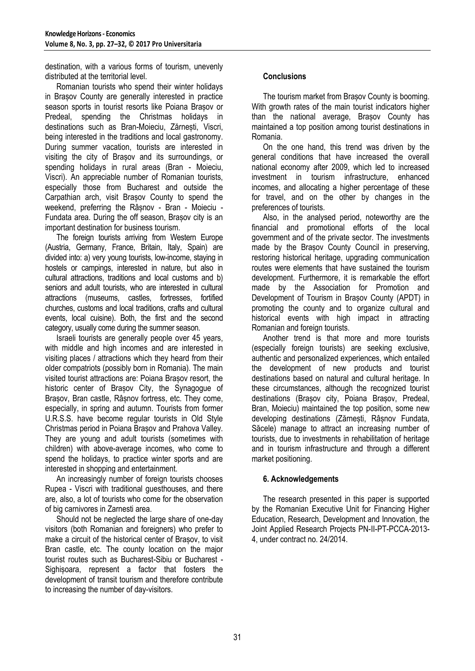destination, with a various forms of tourism, unevenly distributed at the territorial level.

Romanian tourists who spend their winter holidays in Brașov County are generally interested in practice season sports in tourist resorts like Poiana Brașov or Predeal, spending the Christmas holidays in destinations such as Bran-Moieciu, Zărnești, Viscri, being interested in the traditions and local gastronomy. During summer vacation, tourists are interested in visiting the city of Brașov and its surroundings, or spending holidays in rural areas (Bran - Moieciu, Viscri). An appreciable number of Romanian tourists, especially those from Bucharest and outside the Carpathian arch, visit Brașov County to spend the weekend, preferring the Râșnov - Bran - Moieciu - Fundata area. During the off season, Brașov city is an important destination for business tourism.

The foreign tourists arriving from Western Europe (Austria, Germany, France, Britain, Italy, Spain) are divided into: a) very young tourists, low-income, staying in hostels or campings, interested in nature, but also in cultural attractions, traditions and local customs and b) seniors and adult tourists, who are interested in cultural attractions (museums, castles, fortresses, fortified churches, customs and local traditions, crafts and cultural events, local cuisine). Both, the first and the second category, usually come during the summer season.

Israeli tourists are generally people over 45 years, with middle and high incomes and are interested in visiting places / attractions which they heard from their older compatriots (possibly born in Romania). The main visited tourist attractions are: Poiana Brașov resort, the historic center of Brașov City, the Synagogue of Brașov, Bran castle, Râșnov fortress, etc. They come, especially, in spring and autumn. Tourists from former U.R.S.S. have become regular tourists in Old Style Christmas period in Poiana Brașov and Prahova Valley. They are young and adult tourists (sometimes with children) with above-average incomes, who come to spend the holidays, to practice winter sports and are interested in shopping and entertainment.

An increasingly number of foreign tourists chooses Rupea - Viscri with traditional guesthouses, and there are, also, a lot of tourists who come for the observation of big carnivores in Zarnesti area.

Should not be neglected the large share of one-day visitors (both Romanian and foreigners) who prefer to make a circuit of the historical center of Brasov, to visit Bran castle, etc. The county location on the major tourist routes such as Bucharest-Sibiu or Bucharest - Sighișoara, represent a factor that fosters the development of transit tourism and therefore contribute to increasing the number of day-visitors.

## **Conclusions**

The tourism market from Brașov County is booming. With growth rates of the main tourist indicators higher than the national average, Brașov County has maintained a top position among tourist destinations in Romania.

On the one hand, this trend was driven by the general conditions that have increased the overall national economy after 2009, which led to increased investment in tourism infrastructure, enhanced incomes, and allocating a higher percentage of these for travel, and on the other by changes in the preferences of tourists.

Also, in the analysed period, noteworthy are the financial and promotional efforts of the local government and of the private sector. The investments made by the Brașov County Council in preserving, restoring historical heritage, upgrading communication routes were elements that have sustained the tourism development. Furthermore, it is remarkable the effort made by the Association for Promotion and Development of Tourism in Brașov County (APDT) in promoting the county and to organize cultural and historical events with high impact in attracting Romanian and foreign tourists.

Another trend is that more and more tourists (especially foreign tourists) are seeking exclusive, authentic and personalized experiences, which entailed the development of new products and tourist destinations based on natural and cultural heritage. In these circumstances, although the recognized tourist destinations (Brașov city, Poiana Brașov, Predeal, Bran, Moieciu) maintained the top position, some new developing destinations (Zărnești, Râșnov Fundata, Săcele) manage to attract an increasing number of tourists, due to investments in rehabilitation of heritage and in tourism infrastructure and through a different market positioning.

## **6. Acknowledgements**

The research presented in this paper is supported by the Romanian Executive Unit for Financing Higher Education, Research, Development and Innovation, the Joint Applied Research Projects PN-II-PT-PCCA-2013- 4, under contract no. 24/2014.